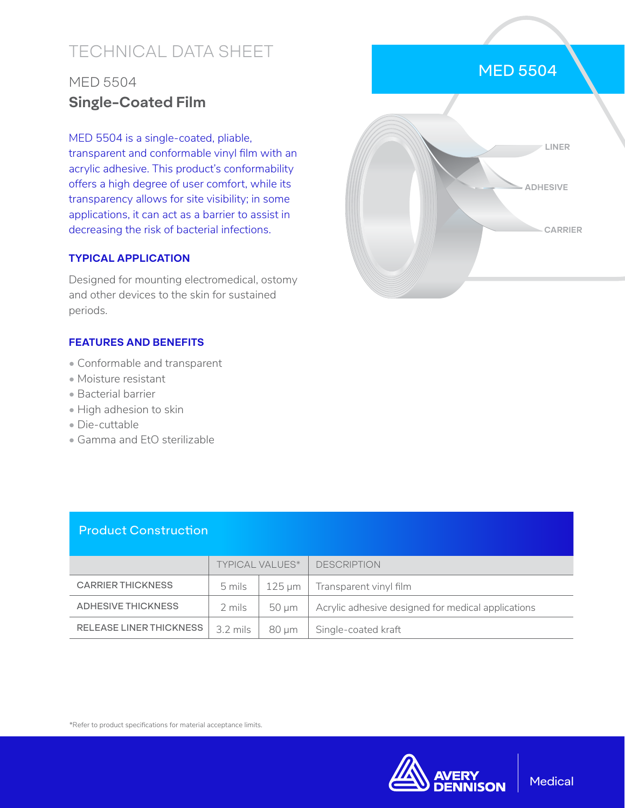# TECHNICAL DATA SHEET

## MED 5504 **Single-Coated Film**

MED 5504 is a single-coated, pliable,

transparent and conformable vinyl film with an acrylic adhesive. This product's conformability offers a high degree of user comfort, while its transparency allows for site visibility; in some applications, it can act as a barrier to assist in decreasing the risk of bacterial infections.

#### **TYPICAL APPLICATION**

Designed for mounting electromedical, ostomy and other devices to the skin for sustained periods.

#### **FEATURES AND BENEFITS**

- Conformable and transparent
- Moisture resistant
- Bacterial barrier
- High adhesion to skin
- Die-cuttable
- Gamma and EtO sterilizable



|                                | <b>TYPICAL VALUES*</b>    |       | <b>DESCRIPTION</b>                                  |
|--------------------------------|---------------------------|-------|-----------------------------------------------------|
| <b>CARRIER THICKNESS</b>       |                           |       | $5 \text{ miles}$   125 µm   Transparent vinyl film |
| ADHESIVE THICKNESS             | 2 mils                    | 50 um | Acrylic adhesive designed for medical applications  |
| <b>RELEASE LINER THICKNESS</b> | $3.2 \text{ miles}$ 80 µm |       | Single-coated kraft                                 |

\*Refer to product specifications for material acceptance limits.



### MED 5504